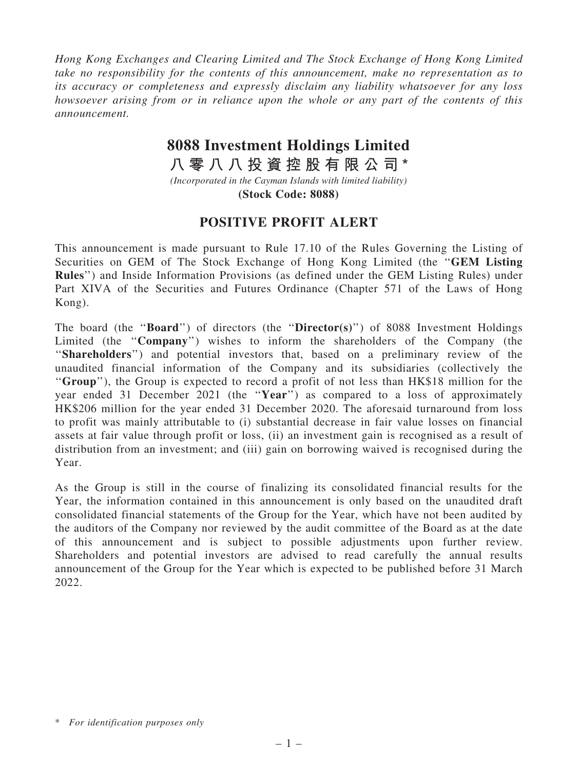*Hong Kong Exchanges and Clearing Limited and The Stock Exchange of Hong Kong Limited take no responsibility for the contents of this announcement, make no representation as to its accuracy or completeness and expressly disclaim any liability whatsoever for any loss howsoever arising from or in reliance upon the whole or any part of the contents of this announcement.*

## **8088 Investment Holdings Limited**

**八 零 八 八 投 資 控 股 有 限 公 司 \***

*(Incorporated in the Cayman Islands with limited liability)* **(Stock Code: 8088)**

## POSITIVE PROFIT ALERT

This announcement is made pursuant to Rule 17.10 of the Rules Governing the Listing of Securities on GEM of The Stock Exchange of Hong Kong Limited (the ''GEM Listing Rules'') and Inside Information Provisions (as defined under the GEM Listing Rules) under Part XIVA of the Securities and Futures Ordinance (Chapter 571 of the Laws of Hong Kong).

The board (the "**Board**") of directors (the "**Director(s)**") of 8088 Investment Holdings Limited (the "Company") wishes to inform the shareholders of the Company (the ''Shareholders'') and potential investors that, based on a preliminary review of the unaudited financial information of the Company and its subsidiaries (collectively the ''Group''), the Group is expected to record a profit of not less than HK\$18 million for the year ended 31 December 2021 (the "Year") as compared to a loss of approximately HK\$206 million for the year ended 31 December 2020. The aforesaid turnaround from loss to profit was mainly attributable to (i) substantial decrease in fair value losses on financial assets at fair value through profit or loss, (ii) an investment gain is recognised as a result of distribution from an investment; and (iii) gain on borrowing waived is recognised during the Year.

As the Group is still in the course of finalizing its consolidated financial results for the Year, the information contained in this announcement is only based on the unaudited draft consolidated financial statements of the Group for the Year, which have not been audited by the auditors of the Company nor reviewed by the audit committee of the Board as at the date of this announcement and is subject to possible adjustments upon further review. Shareholders and potential investors are advised to read carefully the annual results announcement of the Group for the Year which is expected to be published before 31 March 2022.

<sup>\*</sup> *For identification purposes only*